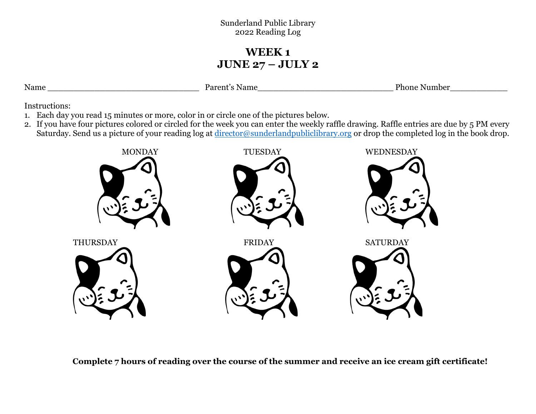#### Sunderland Public Library 2022 Reading Log

## **WEEK 1 JUNE 27 – JULY 2**

Name \_\_\_\_\_\_\_\_\_\_\_\_\_\_\_\_\_\_\_\_\_\_\_\_\_\_\_\_\_ Parent's Name\_\_\_\_\_\_\_\_\_\_\_\_\_\_\_\_\_\_\_\_\_\_\_\_\_\_ Phone Number\_\_\_\_\_\_\_\_\_\_\_

Instructions:

- 1. Each day you read 15 minutes or more, color in or circle one of the pictures below.
- 2. If you have four pictures colored or circled for the week you can enter the weekly raffle drawing. Raffle entries are due by 5 PM every Saturday. Send us a picture of your reading log at <u>director@sunderlandpubliclibrary.org</u> or drop the completed log in the book drop.

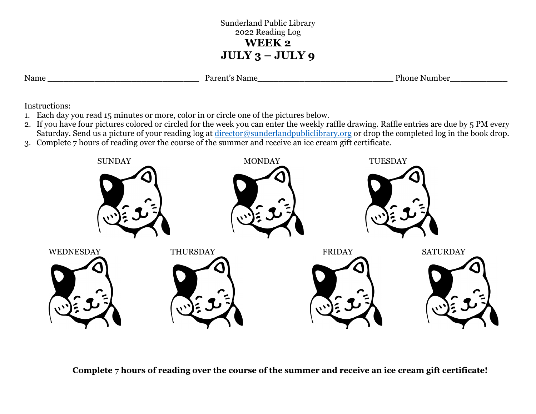## Sunderland Public Library 2022 Reading Log **WEEK 2 JULY 3 – JULY 9**

| ٦<br>L<br>I<br>r ı<br>٠ |
|-------------------------|
|                         |

Parent's Name Thome Number

Instructions:

- 1. Each day you read 15 minutes or more, color in or circle one of the pictures below.
- 2. If you have four pictures colored or circled for the week you can enter the weekly raffle drawing. Raffle entries are due by 5 PM every Saturday. Send us a picture of your reading log at [director@sunderlandpubliclibrary.org](mailto:director@sunderlandpubliclibrary.org) or drop the completed log in the book drop.
- 3. Complete 7 hours of reading over the course of the summer and receive an ice cream gift certificate.

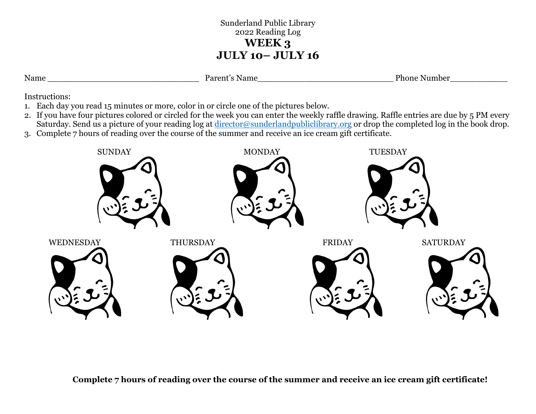### Sunderland Public Library 2022 Reading Log **WEEK 3 JULY 10– JULY 16**

Parent's Name Thome Number

Instructions:

- 1. Each day you read 15 minutes or more, color in or circle one of the pictures below.
- 2. If you have four pictures colored or circled for the week you can enter the weekly raffle drawing. Raffle entries are due by 5 PM every Saturday. Send us a picture of your reading log at [director@sunderlandpubliclibrary.org](mailto:director@sunderlandpubliclibrary.org) or drop the completed log in the book drop.
- 3. Complete 7 hours of reading over the course of the summer and receive an ice cream gift certificate.

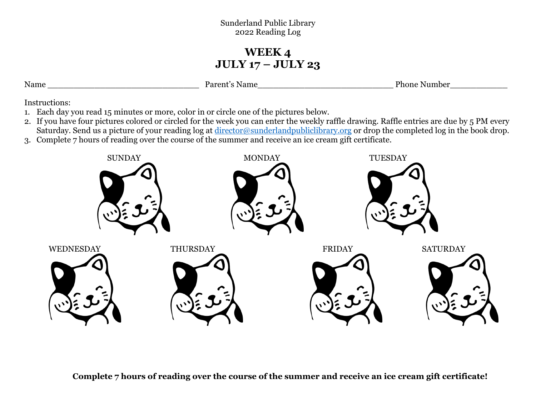#### Sunderland Public Library 2022 Reading Log

# **WEEK 4 JULY 17 – JULY 23**

Name Parent's Name Phone Number

Instructions:

- 1. Each day you read 15 minutes or more, color in or circle one of the pictures below.
- 2. If you have four pictures colored or circled for the week you can enter the weekly raffle drawing. Raffle entries are due by 5 PM every Saturday. Send us a picture of your reading log at [director@sunderlandpubliclibrary.org](mailto:director@sunderlandpubliclibrary.org) or drop the completed log in the book drop.
- 3. Complete 7 hours of reading over the course of the summer and receive an ice cream gift certificate.

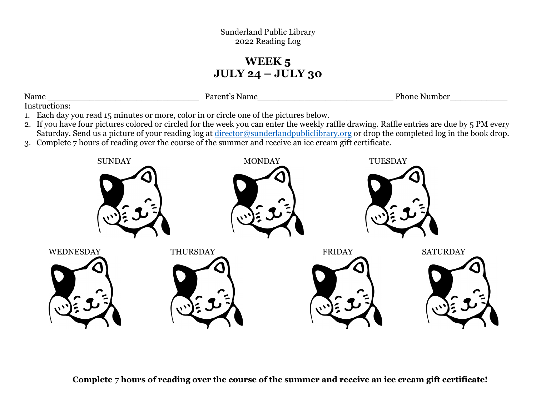# **WEEK 5 JULY 24 – JULY 30**

| Name | Parent´<br>Name | <sup>o</sup> hone<br>Number |
|------|-----------------|-----------------------------|
|      |                 |                             |

Instructions:

- 1. Each day you read 15 minutes or more, color in or circle one of the pictures below.
- 2. If you have four pictures colored or circled for the week you can enter the weekly raffle drawing. Raffle entries are due by 5 PM every Saturday. Send us a picture of your reading log at [director@sunderlandpubliclibrary.org](mailto:director@sunderlandpubliclibrary.org) or drop the completed log in the book drop.
- 3. Complete 7 hours of reading over the course of the summer and receive an ice cream gift certificate.

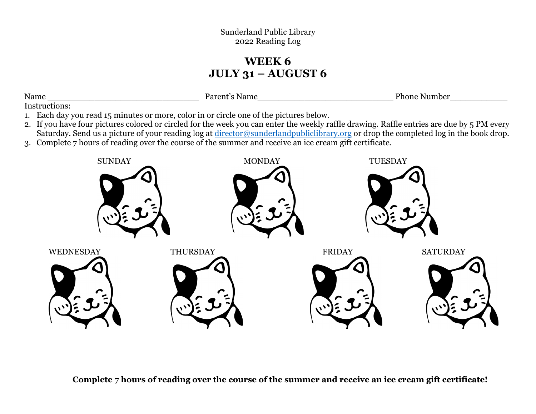Sunderland Public Library 2022 Reading Log

## **WEEK 6 JULY 31 – AUGUST 6**

| Name | P <sub>open</sub><br>Name<br>$\epsilon$ | Dh.<br>umber.<br>тноше |
|------|-----------------------------------------|------------------------|
|      |                                         |                        |

Instructions:

- 1. Each day you read 15 minutes or more, color in or circle one of the pictures below.
- 2. If you have four pictures colored or circled for the week you can enter the weekly raffle drawing. Raffle entries are due by 5 PM every Saturday. Send us a picture of your reading log at [director@sunderlandpubliclibrary.org](mailto:director@sunderlandpubliclibrary.org) or drop the completed log in the book drop.
- 3. Complete 7 hours of reading over the course of the summer and receive an ice cream gift certificate.